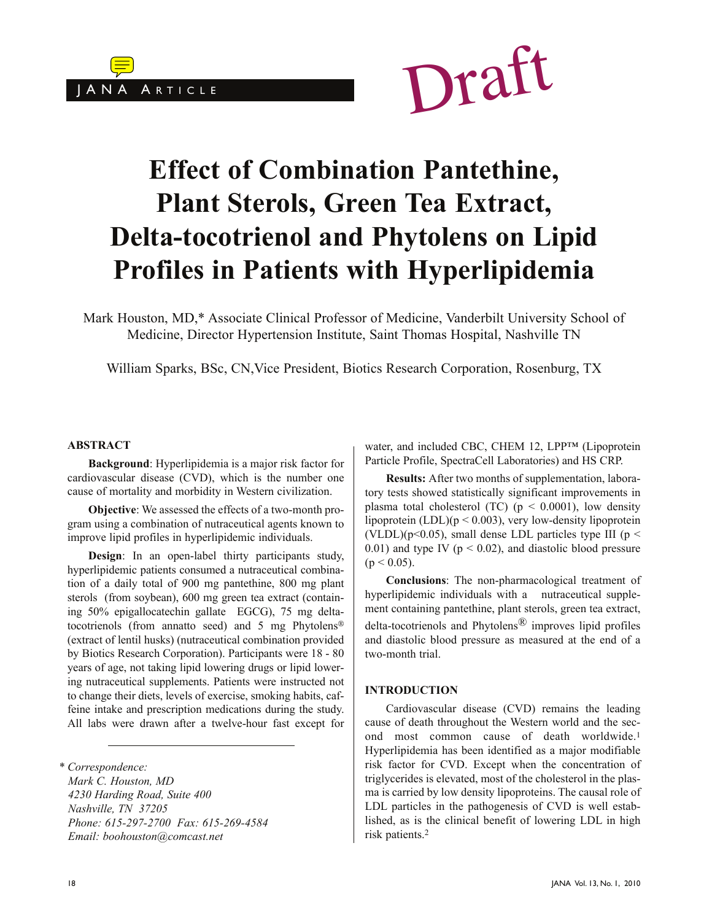



# **Effect of Combination Pantethine, Plant Sterols, Green Tea Extract, Delta-tocotrienol and Phytolens on Lipid Profiles in Patients with Hyperlipidemia**

Mark Houston, MD,\* Associate Clinical Professor of Medicine, Vanderbilt University School of Medicine, Director Hypertension Institute, Saint Thomas Hospital, Nashville TN

William Sparks, BSc, CN,Vice President, Biotics Research Corporation, Rosenburg, TX

#### **ABSTRACT**

**Background**: Hyperlipidemia is a major risk factor for cardiovascular disease (CVD), which is the number one cause of mortality and morbidity in Western civilization.

**Objective**: We assessed the effects of a two-month program using a combination of nutraceutical agents known to improve lipid profiles in hyperlipidemic individuals.

**Design**: In an open-label thirty participants study, hyperlipidemic patients consumed a nutraceutical combination of a daily total of 900 mg pantethine, 800 mg plant sterols (from soybean), 600 mg green tea extract (containing 50% epigallocatechin gallate EGCG), 75 mg deltatocotrienols (from annatto seed) and 5 mg Phytolens® (extract of lentil husks) (nutraceutical combination provided by Biotics Research Corporation). Participants were 18 - 80 years of age, not taking lipid lowering drugs or lipid lowering nutraceutical supplements. Patients were instructed not to change their diets, levels of exercise, smoking habits, caffeine intake and prescription medications during the study. All labs were drawn after a twelve-hour fast except for

*\* Correspondence: Mark C. Houston, MD 4230 Harding Road, Suite 400 Nashville, TN 37205 Phone: 615-297-2700 Fax: 615-269-4584 Email: boohouston@comcast.net*

water, and included CBC, CHEM 12, LPPTM (Lipoprotein Particle Profile, SpectraCell Laboratories) and HS CRP.

**Results:** After two months of supplementation, laboratory tests showed statistically significant improvements in plasma total cholesterol (TC) ( $p < 0.0001$ ), low density lipoprotein (LDL)(p < 0.003), very low-density lipoprotein (VLDL)( $p<0.05$ ), small dense LDL particles type III ( $p <$ 0.01) and type IV ( $p < 0.02$ ), and diastolic blood pressure  $(p < 0.05)$ .

**Conclusions**: The non-pharmacological treatment of hyperlipidemic individuals with a nutraceutical supplement containing pantethine, plant sterols, green tea extract, delta-tocotrienols and Phytolens<sup>®</sup> improves lipid profiles and diastolic blood pressure as measured at the end of a two-month trial.

#### **INTRODUCTION**

Cardiovascular disease (CVD) remains the leading cause of death throughout the Western world and the second most common cause of death worldwide.<sup>1</sup> Hyperlipidemia has been identified as a major modifiable risk factor for CVD. Except when the concentration of triglycerides is elevated, most of the cholesterol in the plasma is carried by low density lipoproteins. The causal role of LDL particles in the pathogenesis of CVD is well established, as is the clinical benefit of lowering LDL in high risk patients.<sup>2</sup>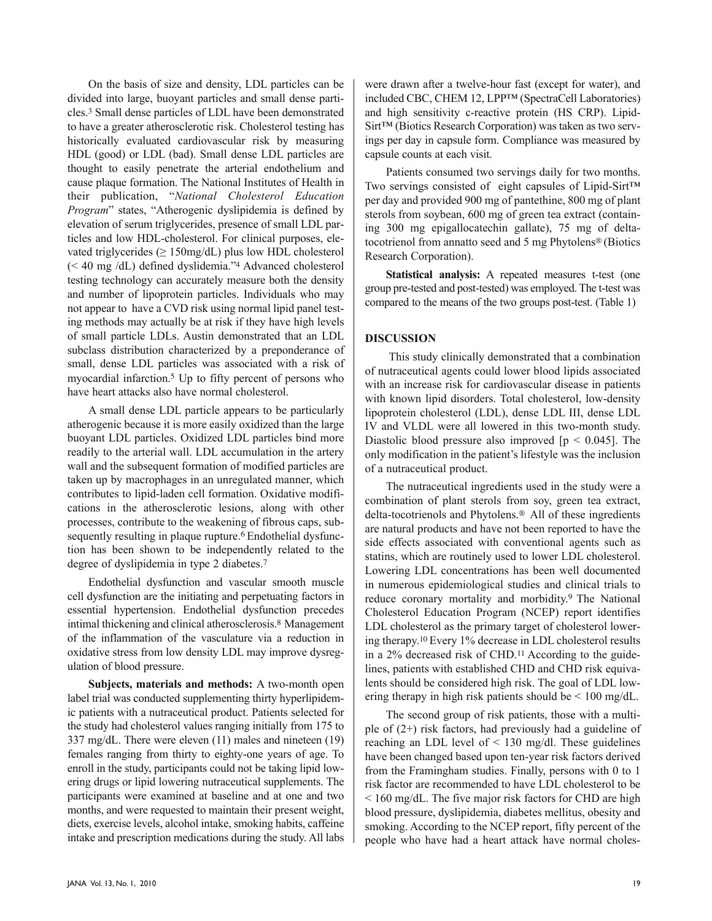On the basis of size and density, LDL particles can be divided into large, buoyant particles and small dense particles.<sup>3</sup> Small dense particles of LDL have been demonstrated to have a greater atherosclerotic risk. Cholesterol testing has historically evaluated cardiovascular risk by measuring HDL (good) or LDL (bad). Small dense LDL particles are thought to easily penetrate the arterial endothelium and cause plaque formation. The National Institutes of Health in their publication, "*National Cholesterol Education Program*" states, "Atherogenic dyslipidemia is defined by elevation of serum triglycerides, presence of small LDL particles and low HDL-cholesterol. For clinical purposes, elevated triglycerides ( $\geq 150$ mg/dL) plus low HDL cholesterol (< 40 mg /dL) defined dyslidemia."<sup>4</sup> Advanced cholesterol testing technology can accurately measure both the density and number of lipoprotein particles. Individuals who may not appear to have a CVD risk using normal lipid panel testing methods may actually be at risk if they have high levels of small particle LDLs. Austin demonstrated that an LDL subclass distribution characterized by a preponderance of small, dense LDL particles was associated with a risk of myocardial infarction.<sup>5</sup> Up to fifty percent of persons who have heart attacks also have normal cholesterol.

A small dense LDL particle appears to be particularly atherogenic because it is more easily oxidized than the large buoyant LDL particles. Oxidized LDL particles bind more readily to the arterial wall. LDL accumulation in the artery wall and the subsequent formation of modified particles are taken up by macrophages in an unregulated manner, which contributes to lipid-laden cell formation. Oxidative modifications in the atherosclerotic lesions, along with other processes, contribute to the weakening of fibrous caps, subsequently resulting in plaque rupture.<sup>6</sup> Endothelial dysfunction has been shown to be independently related to the degree of dyslipidemia in type 2 diabetes.<sup>7</sup>

Endothelial dysfunction and vascular smooth muscle cell dysfunction are the initiating and perpetuating factors in essential hypertension. Endothelial dysfunction precedes intimal thickening and clinical atherosclerosis.8 Management of the inflammation of the vasculature via a reduction in oxidative stress from low density LDL may improve dysregulation of blood pressure.

**Subjects, materials and methods:** A two-month open label trial was conducted supplementing thirty hyperlipidemic patients with a nutraceutical product. Patients selected for the study had cholesterol values ranging initially from 175 to 337 mg/dL. There were eleven (11) males and nineteen (19) females ranging from thirty to eighty-one years of age. To enroll in the study, participants could not be taking lipid lowering drugs or lipid lowering nutraceutical supplements. The participants were examined at baseline and at one and two months, and were requested to maintain their present weight, diets, exercise levels, alcohol intake, smoking habits, caffeine intake and prescription medications during the study. All labs were drawn after a twelve-hour fast (except for water), and included CBC, CHEM 12, LPP™ (SpectraCell Laboratories) and high sensitivity c-reactive protein (HS CRP). Lipid-Sirt™ (Biotics Research Corporation) was taken as two servings per day in capsule form. Compliance was measured by capsule counts at each visit.

Patients consumed two servings daily for two months. Two servings consisted of eight capsules of Lipid-Sirt™ per day and provided 900 mg of pantethine, 800 mg of plant sterols from soybean, 600 mg of green tea extract (containing 300 mg epigallocatechin gallate), 75 mg of deltatocotrienol from annatto seed and 5 mg Phytolens® (Biotics Research Corporation).

**Statistical analysis:** A repeated measures t-test (one group pre-tested and post-tested) was employed. The t-test was compared to the means of the two groups post-test. (Table 1)

## **DISCUSSION**

This study clinically demonstrated that a combination of nutraceutical agents could lower blood lipids associated with an increase risk for cardiovascular disease in patients with known lipid disorders. Total cholesterol, low-density lipoprotein cholesterol (LDL), dense LDL III, dense LDL IV and VLDL were all lowered in this two-month study. Diastolic blood pressure also improved  $[p \le 0.045]$ . The only modification in the patient's lifestyle was the inclusion of a nutraceutical product.

The nutraceutical ingredients used in the study were a combination of plant sterols from soy, green tea extract, delta-tocotrienols and Phytolens.® All of these ingredients are natural products and have not been reported to have the side effects associated with conventional agents such as statins, which are routinely used to lower LDL cholesterol. Lowering LDL concentrations has been well documented in numerous epidemiological studies and clinical trials to reduce coronary mortality and morbidity.9 The National Cholesterol Education Program (NCEP) report identifies LDL cholesterol as the primary target of cholesterol lowering therapy.10 Every 1% decrease in LDL cholesterol results in a 2% decreased risk of CHD.11 According to the guidelines, patients with established CHD and CHD risk equivalents should be considered high risk. The goal of LDL lowering therapy in high risk patients should be < 100 mg/dL.

The second group of risk patients, those with a multiple of (2+) risk factors, had previously had a guideline of reaching an LDL level of < 130 mg/dl. These guidelines have been changed based upon ten-year risk factors derived from the Framingham studies. Finally, persons with 0 to 1 risk factor are recommended to have LDL cholesterol to be < 160 mg/dL. The five major risk factors for CHD are high blood pressure, dyslipidemia, diabetes mellitus, obesity and smoking. According to the NCEP report, fifty percent of the people who have had a heart attack have normal choles-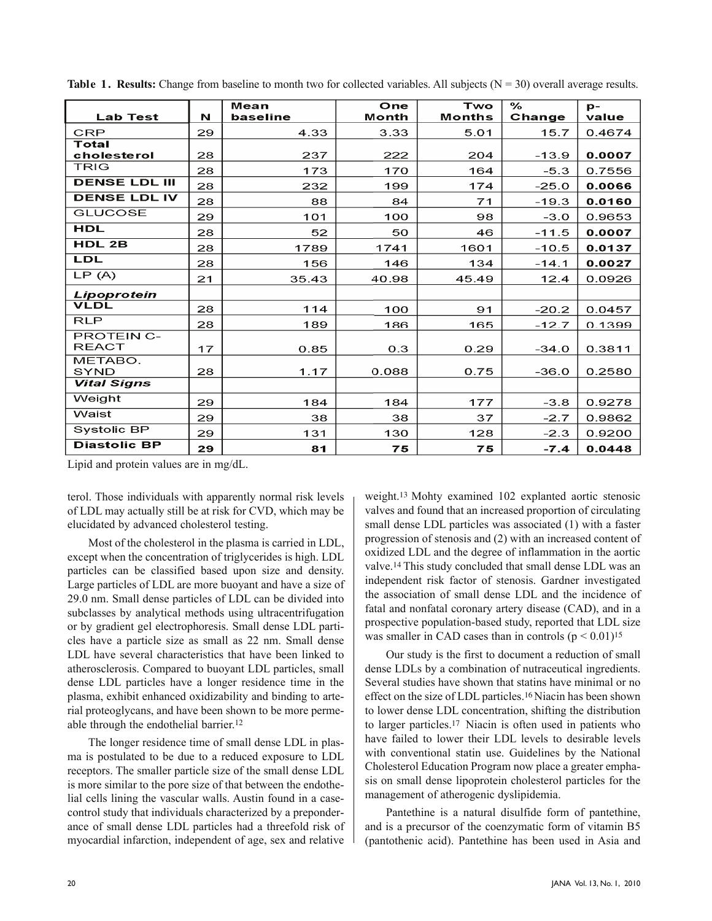|                      |    | Mean     | One   | Two           | $\frac{6}{6}$ | $p -$  |
|----------------------|----|----------|-------|---------------|---------------|--------|
| <b>Lab Test</b>      | N  | baseline | Month | <b>Months</b> | Change        | value  |
| <b>CRP</b>           | 29 | 4.33     | 3.33  | 5.01          | 15.7          | 0.4674 |
| Total                |    |          |       |               |               |        |
| cholesterol          | 28 | 237      | 222   | 204           | $-13.9$       | 0.0007 |
| <b>TRIG</b>          | 28 | 173      | 170   | 164           | $-5.3$        | 0.7556 |
| <b>DENSE LDL III</b> | 28 | 232      | 199   | 174           | $-25.0$       | 0.0066 |
| <b>DENSE LDL IV</b>  | 28 | 88       | 84    | 71            | $-19.3$       | 0.0160 |
| <b>GLUCOSE</b>       | 29 | 101      | 100   | 98            | $-3.0$        | 0.9653 |
| HDL                  | 28 | 52       | 50    | 46            | $-11.5$       | 0.0007 |
| HDL 2B               | 28 | 1789     | 1741  | 1601          | $-10.5$       | 0.0137 |
| LDL                  | 28 | 156      | 146   | 134           | $-14.1$       | 0.0027 |
| LP(A)                | 21 | 35.43    | 40.98 | 45.49         | 12.4          | 0.0926 |
| Lipoprotein          |    |          |       |               |               |        |
| <b>VLDL</b>          | 28 | 114      | 100   | 91            | $-20.2$       | 0.0457 |
| <b>RLP</b>           | 28 | 189      | 186   | 165           | $-12.7$       | 0.1399 |
| <b>PROTEIN C-</b>    |    |          |       |               |               |        |
| <b>REACT</b>         | 17 | 0.85     | 0.3   | 0.29          | $-34.0$       | 0.3811 |
| METABO.              |    |          |       |               |               |        |
| <b>SYND</b>          | 28 | 1.17     | 0.088 | 0.75          | $-36.0$       | 0.2580 |
| <b>Vital Signs</b>   |    |          |       |               |               |        |
| Weight               | 29 | 184      | 184   | 177           | $-3.8$        | 0.9278 |
| Waist                | 29 | 38       | 38    | 37            | $-2.7$        | 0.9862 |
| Systolic BP          | 29 | 131      | 130   | 128           | $-2.3$        | 0.9200 |
| <b>Diastolic BP</b>  | 29 | 81       | 75    | 75            | $-7.4$        | 0.0448 |

**Table 1. Results:** Change from baseline to month two for collected variables. All subjects  $(N = 30)$  overall average results.

Lipid and protein values are in mg/dL.

terol. Those individuals with apparently normal risk levels of LDL may actually still be at risk for CVD, which may be elucidated by advanced cholesterol testing.

Most of the cholesterol in the plasma is carried in LDL, except when the concentration of triglycerides is high. LDL particles can be classified based upon size and density. Large particles of LDL are more buoyant and have a size of 29.0 nm. Small dense particles of LDL can be divided into subclasses by analytical methods using ultracentrifugation or by gradient gel electrophoresis. Small dense LDL particles have a particle size as small as 22 nm. Small dense LDL have several characteristics that have been linked to atherosclerosis. Compared to buoyant LDL particles, small dense LDL particles have a longer residence time in the plasma, exhibit enhanced oxidizability and binding to arterial proteoglycans, and have been shown to be more permeable through the endothelial barrier.<sup>12</sup>

The longer residence time of small dense LDL in plasma is postulated to be due to a reduced exposure to LDL receptors. The smaller particle size of the small dense LDL is more similar to the pore size of that between the endothelial cells lining the vascular walls. Austin found in a casecontrol study that individuals characterized by a preponderance of small dense LDL particles had a threefold risk of myocardial infarction, independent of age, sex and relative weight.13 Mohty examined 102 explanted aortic stenosic valves and found that an increased proportion of circulating small dense LDL particles was associated (1) with a faster progression of stenosis and (2) with an increased content of oxidized LDL and the degree of inflammation in the aortic valve.14 This study concluded that small dense LDL was an independent risk factor of stenosis. Gardner investigated the association of small dense LDL and the incidence of fatal and nonfatal coronary artery disease (CAD), and in a prospective population-based study, reported that LDL size was smaller in CAD cases than in controls  $(p < 0.01)^{15}$ 

Our study is the first to document a reduction of small dense LDLs by a combination of nutraceutical ingredients. Several studies have shown that statins have minimal or no effect on the size of LDL particles.16 Niacin has been shown to lower dense LDL concentration, shifting the distribution to larger particles.17 Niacin is often used in patients who have failed to lower their LDL levels to desirable levels with conventional statin use. Guidelines by the National Cholesterol Education Program now place a greater emphasis on small dense lipoprotein cholesterol particles for the management of atherogenic dyslipidemia.

Pantethine is a natural disulfide form of pantethine, and is a precursor of the coenzymatic form of vitamin B5 (pantothenic acid). Pantethine has been used in Asia and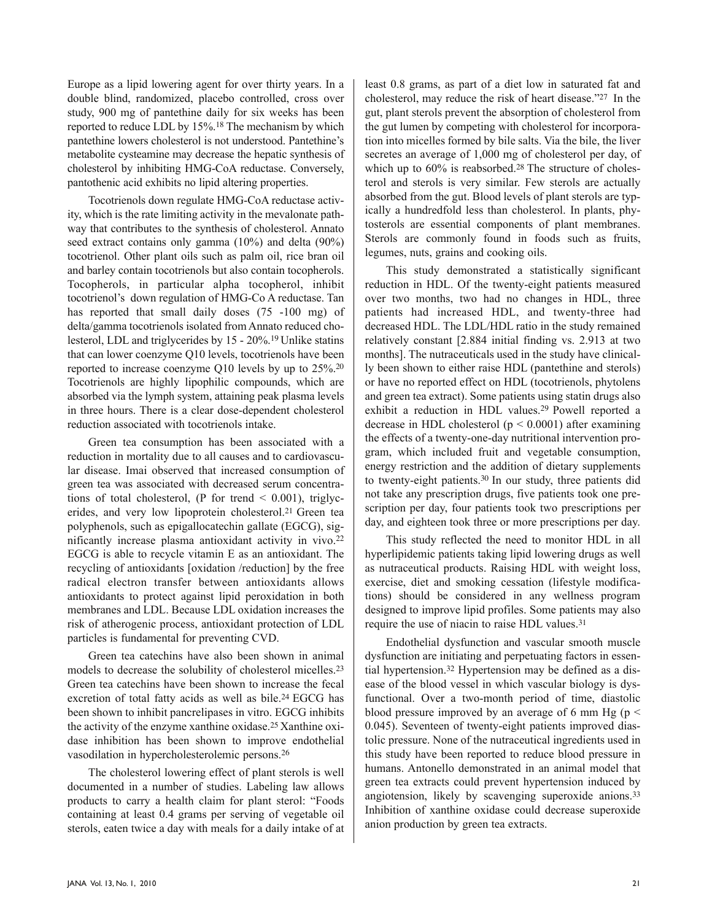Europe as a lipid lowering agent for over thirty years. In a double blind, randomized, placebo controlled, cross over study, 900 mg of pantethine daily for six weeks has been reported to reduce LDL by 15%.<sup>18</sup> The mechanism by which pantethine lowers cholesterol is not understood. Pantethine's metabolite cysteamine may decrease the hepatic synthesis of cholesterol by inhibiting HMG-CoA reductase. Conversely, pantothenic acid exhibits no lipid altering properties.

Tocotrienols down regulate HMG-CoA reductase activity, which is the rate limiting activity in the mevalonate pathway that contributes to the synthesis of cholesterol. Annato seed extract contains only gamma (10%) and delta (90%) tocotrienol. Other plant oils such as palm oil, rice bran oil and barley contain tocotrienols but also contain tocopherols. Tocopherols, in particular alpha tocopherol, inhibit tocotrienol's down regulation of HMG-Co A reductase. Tan has reported that small daily doses (75 -100 mg) of delta/gamma tocotrienols isolated from Annato reduced cholesterol, LDL and triglycerides by 15 - 20%.19 Unlike statins that can lower coenzyme Q10 levels, tocotrienols have been reported to increase coenzyme Q10 levels by up to 25%.<sup>20</sup> Tocotrienols are highly lipophilic compounds, which are absorbed via the lymph system, attaining peak plasma levels in three hours. There is a clear dose-dependent cholesterol reduction associated with tocotrienols intake.

Green tea consumption has been associated with a reduction in mortality due to all causes and to cardiovascular disease. Imai observed that increased consumption of green tea was associated with decreased serum concentrations of total cholesterol, (P for trend  $\leq$  0.001), triglycerides, and very low lipoprotein cholesterol.21 Green tea polyphenols, such as epigallocatechin gallate (EGCG), significantly increase plasma antioxidant activity in vivo.<sup>22</sup> EGCG is able to recycle vitamin E as an antioxidant. The recycling of antioxidants [oxidation /reduction] by the free radical electron transfer between antioxidants allows antioxidants to protect against lipid peroxidation in both membranes and LDL. Because LDL oxidation increases the risk of atherogenic process, antioxidant protection of LDL particles is fundamental for preventing CVD.

Green tea catechins have also been shown in animal models to decrease the solubility of cholesterol micelles.<sup>23</sup> Green tea catechins have been shown to increase the fecal excretion of total fatty acids as well as bile.<sup>24</sup> EGCG has been shown to inhibit pancrelipases in vitro. EGCG inhibits the activity of the enzyme xanthine oxidase.25 Xanthine oxidase inhibition has been shown to improve endothelial vasodilation in hypercholesterolemic persons.<sup>26</sup>

The cholesterol lowering effect of plant sterols is well documented in a number of studies. Labeling law allows products to carry a health claim for plant sterol: "Foods containing at least 0.4 grams per serving of vegetable oil sterols, eaten twice a day with meals for a daily intake of at least 0.8 grams, as part of a diet low in saturated fat and cholesterol, may reduce the risk of heart disease."27 In the gut, plant sterols prevent the absorption of cholesterol from the gut lumen by competing with cholesterol for incorporation into micelles formed by bile salts. Via the bile, the liver secretes an average of 1,000 mg of cholesterol per day, of which up to 60% is reabsorbed.<sup>28</sup> The structure of cholesterol and sterols is very similar. Few sterols are actually absorbed from the gut. Blood levels of plant sterols are typically a hundredfold less than cholesterol. In plants, phytosterols are essential components of plant membranes. Sterols are commonly found in foods such as fruits, legumes, nuts, grains and cooking oils.

This study demonstrated a statistically significant reduction in HDL. Of the twenty-eight patients measured over two months, two had no changes in HDL, three patients had increased HDL, and twenty-three had decreased HDL. The LDL/HDL ratio in the study remained relatively constant [2.884 initial finding vs. 2.913 at two months]. The nutraceuticals used in the study have clinically been shown to either raise HDL (pantethine and sterols) or have no reported effect on HDL (tocotrienols, phytolens and green tea extract). Some patients using statin drugs also exhibit a reduction in HDL values.29 Powell reported a decrease in HDL cholesterol ( $p < 0.0001$ ) after examining the effects of a twenty-one-day nutritional intervention program, which included fruit and vegetable consumption, energy restriction and the addition of dietary supplements to twenty-eight patients.30 In our study, three patients did not take any prescription drugs, five patients took one prescription per day, four patients took two prescriptions per day, and eighteen took three or more prescriptions per day.

This study reflected the need to monitor HDL in all hyperlipidemic patients taking lipid lowering drugs as well as nutraceutical products. Raising HDL with weight loss, exercise, diet and smoking cessation (lifestyle modifications) should be considered in any wellness program designed to improve lipid profiles. Some patients may also require the use of niacin to raise HDL values.<sup>31</sup>

Endothelial dysfunction and vascular smooth muscle dysfunction are initiating and perpetuating factors in essential hypertension.<sup>32</sup> Hypertension may be defined as a disease of the blood vessel in which vascular biology is dysfunctional. Over a two-month period of time, diastolic blood pressure improved by an average of 6 mm Hg ( $p \le$ 0.045). Seventeen of twenty-eight patients improved diastolic pressure. None of the nutraceutical ingredients used in this study have been reported to reduce blood pressure in humans. Antonello demonstrated in an animal model that green tea extracts could prevent hypertension induced by angiotension, likely by scavenging superoxide anions.<sup>33</sup> Inhibition of xanthine oxidase could decrease superoxide anion production by green tea extracts.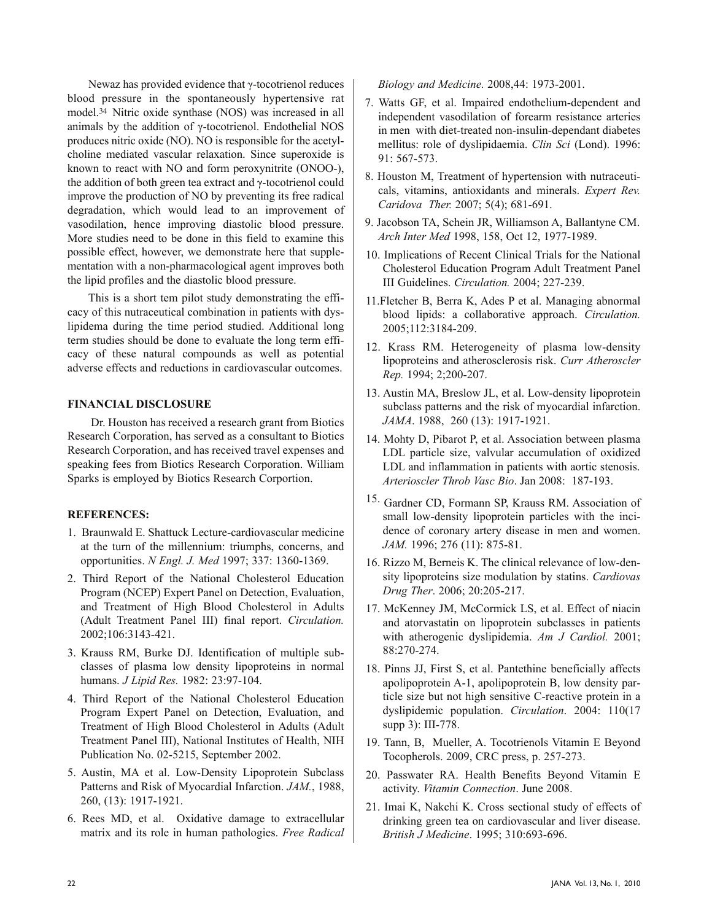Newaz has provided evidence that  $\gamma$ -tocotrienol reduces blood pressure in the spontaneously hypertensive rat model.34 Nitric oxide synthase (NOS) was increased in all animals by the addition of  $\gamma$ -tocotrienol. Endothelial NOS produces nitric oxide (NO). NO is responsible for the acetylcholine mediated vascular relaxation. Since superoxide is known to react with NO and form peroxynitrite (ONOO-), the addition of both green tea extract and  $\gamma$ -tocotrienol could improve the production of NO by preventing its free radical degradation, which would lead to an improvement of vasodilation, hence improving diastolic blood pressure. More studies need to be done in this field to examine this possible effect, however, we demonstrate here that supplementation with a non-pharmacological agent improves both the lipid profiles and the diastolic blood pressure.

This is a short tem pilot study demonstrating the efficacy of this nutraceutical combination in patients with dyslipidema during the time period studied. Additional long term studies should be done to evaluate the long term efficacy of these natural compounds as well as potential adverse effects and reductions in cardiovascular outcomes.

## **FINANCIAL DISCLOSURE**

Dr. Houston has received a research grant from Biotics Research Corporation, has served as a consultant to Biotics Research Corporation, and has received travel expenses and speaking fees from Biotics Research Corporation. William Sparks is employed by Biotics Research Corportion.

## **REFERENCES:**

- 1. Braunwald E. Shattuck Lecture-cardiovascular medicine at the turn of the millennium: triumphs, concerns, and opportunities. *N Engl. J. Med* 1997; 337: 1360-1369.
- 2. Third Report of the National Cholesterol Education Program (NCEP) Expert Panel on Detection, Evaluation, and Treatment of High Blood Cholesterol in Adults (Adult Treatment Panel III) final report. *Circulation.* 2002;106:3143-421.
- 3. Krauss RM, Burke DJ. Identification of multiple subclasses of plasma low density lipoproteins in normal humans. *J Lipid Res.* 1982: 23:97-104.
- 4. Third Report of the National Cholesterol Education Program Expert Panel on Detection, Evaluation, and Treatment of High Blood Cholesterol in Adults (Adult Treatment Panel III), National Institutes of Health, NIH Publication No. 02-5215, September 2002.
- 5. Austin, MA et al. Low-Density Lipoprotein Subclass Patterns and Risk of Myocardial Infarction. *JAM.*, 1988, 260, (13): 1917-1921.
- 6. Rees MD, et al. Oxidative damage to extracellular matrix and its role in human pathologies. *Free Radical*

*Biology and Medicine.* 2008,44: 1973-2001.

- 7. Watts GF, et al. Impaired endothelium-dependent and independent vasodilation of forearm resistance arteries in men with diet-treated non-insulin-dependant diabetes mellitus: role of dyslipidaemia. *Clin Sci* (Lond). 1996: 91: 567-573.
- 8. Houston M, Treatment of hypertension with nutraceuticals, vitamins, antioxidants and minerals. *Expert Rev. Caridova Ther.* 2007; 5(4); 681-691.
- 9. Jacobson TA, Schein JR, Williamson A, Ballantyne CM. *Arch Inter Med* 1998, 158, Oct 12, 1977-1989.
- 10. Implications of Recent Clinical Trials for the National Cholesterol Education Program Adult Treatment Panel III Guidelines. *Circulation.* 2004; 227-239.
- 11.Fletcher B, Berra K, Ades P et al. Managing abnormal blood lipids: a collaborative approach. *Circulation.* 2005;112:3184-209.
- 12. Krass RM. Heterogeneity of plasma low-density lipoproteins and atherosclerosis risk. *Curr Atheroscler Rep.* 1994; 2;200-207.
- 13. Austin MA, Breslow JL, et al. Low-density lipoprotein subclass patterns and the risk of myocardial infarction. *JAMA*. 1988, 260 (13): 1917-1921.
- 14. Mohty D, Pibarot P, et al. Association between plasma LDL particle size, valvular accumulation of oxidized LDL and inflammation in patients with aortic stenosis. *Arterioscler Throb Vasc Bio*. Jan 2008: 187-193.
- 15. Gardner CD, Formann SP, Krauss RM. Association of small low-density lipoprotein particles with the incidence of coronary artery disease in men and women. *JAM.* 1996; 276 (11): 875-81.
- 16. Rizzo M, Berneis K. The clinical relevance of low-density lipoproteins size modulation by statins. *Cardiovas Drug Ther*. 2006; 20:205-217.
- 17. McKenney JM, McCormick LS, et al. Effect of niacin and atorvastatin on lipoprotein subclasses in patients with atherogenic dyslipidemia. *Am J Cardiol.* 2001; 88:270-274.
- 18. Pinns JJ, First S, et al. Pantethine beneficially affects apolipoprotein A-1, apolipoprotein B, low density particle size but not high sensitive C-reactive protein in a dyslipidemic population. *Circulation*. 2004: 110(17 supp 3): III-778.
- 19. Tann, B, Mueller, A. Tocotrienols Vitamin E Beyond Tocopherols. 2009, CRC press, p. 257-273.
- 20. Passwater RA. Health Benefits Beyond Vitamin E activity. *Vitamin Connection*. June 2008.
- 21. Imai K, Nakchi K. Cross sectional study of effects of drinking green tea on cardiovascular and liver disease. *British J Medicine*. 1995; 310:693-696.